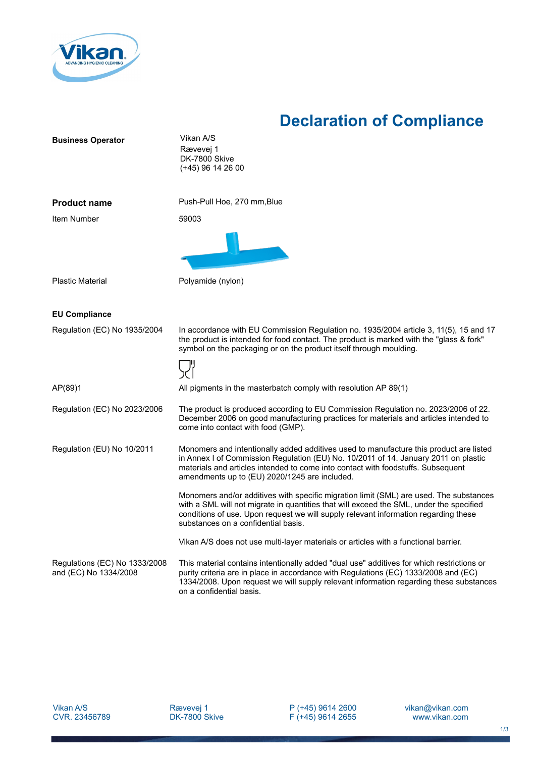

## **Declaration of Compliance**

| <b>Business Operator</b>                               | Vikan A/S                                                                                                                                                                                                                                                                                                          |
|--------------------------------------------------------|--------------------------------------------------------------------------------------------------------------------------------------------------------------------------------------------------------------------------------------------------------------------------------------------------------------------|
|                                                        | Rævevej 1<br>DK-7800 Skive                                                                                                                                                                                                                                                                                         |
|                                                        | (+45) 96 14 26 00                                                                                                                                                                                                                                                                                                  |
|                                                        |                                                                                                                                                                                                                                                                                                                    |
| <b>Product name</b>                                    | Push-Pull Hoe, 270 mm, Blue                                                                                                                                                                                                                                                                                        |
| Item Number                                            | 59003                                                                                                                                                                                                                                                                                                              |
|                                                        |                                                                                                                                                                                                                                                                                                                    |
| <b>Plastic Material</b>                                | Polyamide (nylon)                                                                                                                                                                                                                                                                                                  |
|                                                        |                                                                                                                                                                                                                                                                                                                    |
| <b>EU Compliance</b>                                   |                                                                                                                                                                                                                                                                                                                    |
| Regulation (EC) No 1935/2004                           | In accordance with EU Commission Regulation no. 1935/2004 article 3, 11(5), 15 and 17<br>the product is intended for food contact. The product is marked with the "glass & fork"<br>symbol on the packaging or on the product itself through moulding.                                                             |
|                                                        |                                                                                                                                                                                                                                                                                                                    |
| AP(89)1                                                | All pigments in the masterbatch comply with resolution AP 89(1)                                                                                                                                                                                                                                                    |
| Regulation (EC) No 2023/2006                           | The product is produced according to EU Commission Regulation no. 2023/2006 of 22.<br>December 2006 on good manufacturing practices for materials and articles intended to<br>come into contact with food (GMP).                                                                                                   |
| Regulation (EU) No 10/2011                             | Monomers and intentionally added additives used to manufacture this product are listed<br>in Annex I of Commission Regulation (EU) No. 10/2011 of 14. January 2011 on plastic<br>materials and articles intended to come into contact with foodstuffs. Subsequent<br>amendments up to (EU) 2020/1245 are included. |
|                                                        | Monomers and/or additives with specific migration limit (SML) are used. The substances<br>with a SML will not migrate in quantities that will exceed the SML, under the specified<br>conditions of use. Upon request we will supply relevant information regarding these<br>substances on a confidential basis.    |
|                                                        | Vikan A/S does not use multi-layer materials or articles with a functional barrier.                                                                                                                                                                                                                                |
| Regulations (EC) No 1333/2008<br>and (EC) No 1334/2008 | This material contains intentionally added "dual use" additives for which restrictions or<br>purity criteria are in place in accordance with Regulations (EC) 1333/2008 and (EC)<br>1334/2008. Upon request we will supply relevant information regarding these substances<br>on a confidential basis.             |

P (+45) 9614 2600 F (+45) 9614 2655 vikan@vikan.com www.vikan.com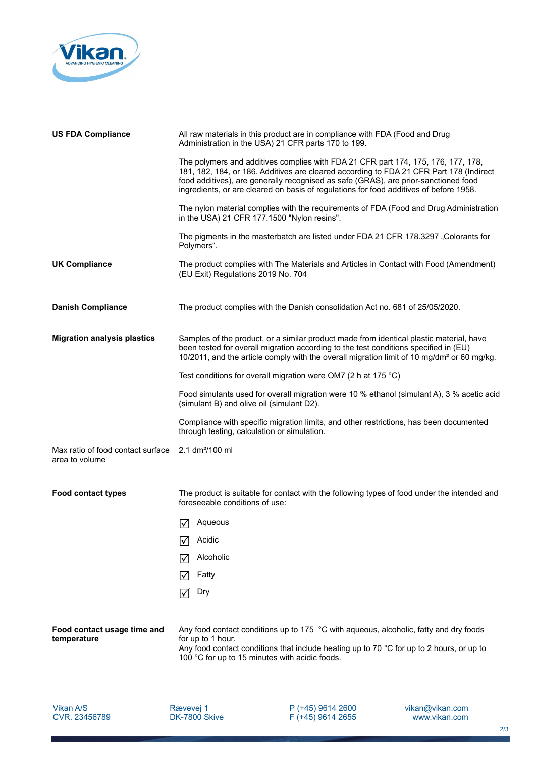

| <b>US FDA Compliance</b>                            | All raw materials in this product are in compliance with FDA (Food and Drug<br>Administration in the USA) 21 CFR parts 170 to 199.                                                                                                                                                                                                                            |
|-----------------------------------------------------|---------------------------------------------------------------------------------------------------------------------------------------------------------------------------------------------------------------------------------------------------------------------------------------------------------------------------------------------------------------|
|                                                     | The polymers and additives complies with FDA 21 CFR part 174, 175, 176, 177, 178,<br>181, 182, 184, or 186. Additives are cleared according to FDA 21 CFR Part 178 (Indirect<br>food additives), are generally recognised as safe (GRAS), are prior-sanctioned food<br>ingredients, or are cleared on basis of regulations for food additives of before 1958. |
|                                                     | The nylon material complies with the requirements of FDA (Food and Drug Administration<br>in the USA) 21 CFR 177.1500 "Nylon resins".                                                                                                                                                                                                                         |
|                                                     | The pigments in the masterbatch are listed under FDA 21 CFR 178.3297 "Colorants for<br>Polymers".                                                                                                                                                                                                                                                             |
| <b>UK Compliance</b>                                | The product complies with The Materials and Articles in Contact with Food (Amendment)<br>(EU Exit) Regulations 2019 No. 704                                                                                                                                                                                                                                   |
| <b>Danish Compliance</b>                            | The product complies with the Danish consolidation Act no. 681 of 25/05/2020.                                                                                                                                                                                                                                                                                 |
| <b>Migration analysis plastics</b>                  | Samples of the product, or a similar product made from identical plastic material, have<br>been tested for overall migration according to the test conditions specified in (EU)<br>10/2011, and the article comply with the overall migration limit of 10 mg/dm <sup>2</sup> or 60 mg/kg.                                                                     |
|                                                     | Test conditions for overall migration were OM7 (2 h at 175 $^{\circ}$ C)                                                                                                                                                                                                                                                                                      |
|                                                     | Food simulants used for overall migration were 10 % ethanol (simulant A), 3 % acetic acid<br>(simulant B) and olive oil (simulant D2).                                                                                                                                                                                                                        |
|                                                     | Compliance with specific migration limits, and other restrictions, has been documented<br>through testing, calculation or simulation.                                                                                                                                                                                                                         |
| Max ratio of food contact surface<br>area to volume | 2.1 dm <sup>2</sup> /100 ml                                                                                                                                                                                                                                                                                                                                   |
| <b>Food contact types</b>                           | The product is suitable for contact with the following types of food under the intended and<br>foreseeable conditions of use:                                                                                                                                                                                                                                 |
|                                                     | Aqueous<br>∣√∣                                                                                                                                                                                                                                                                                                                                                |
|                                                     | Acidic                                                                                                                                                                                                                                                                                                                                                        |
|                                                     | Alcoholic                                                                                                                                                                                                                                                                                                                                                     |
|                                                     | Fatty<br>IV                                                                                                                                                                                                                                                                                                                                                   |
|                                                     | Dry<br>⋈                                                                                                                                                                                                                                                                                                                                                      |
| Food contact usage time and<br>temperature          | Any food contact conditions up to 175 °C with aqueous, alcoholic, fatty and dry foods<br>for up to 1 hour.<br>Any food contact conditions that include heating up to 70 °C for up to 2 hours, or up to<br>100 °C for up to 15 minutes with acidic foods.                                                                                                      |

Vikan A/S CVR. 23456789

Rævevej 1 DK-7800 Skive P (+45) 9614 2600 F (+45) 9614 2655 vikan@vikan.com www.vikan.com